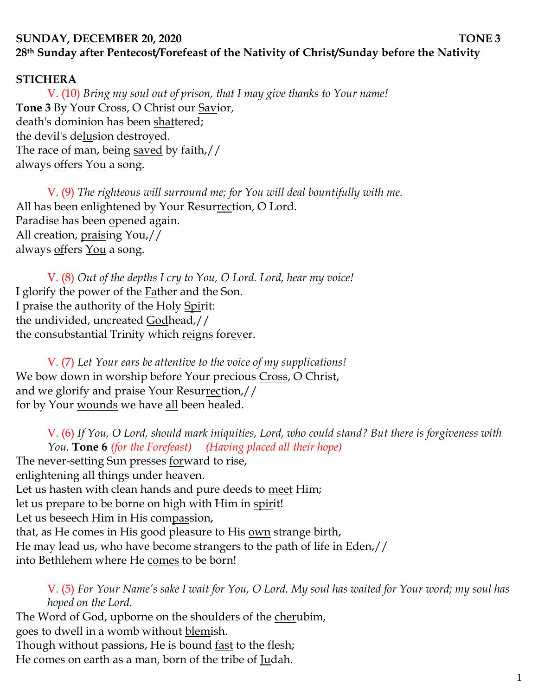# **SUNDAY, DECEMBER 20, 2020 TONE 3 28th Sunday after Pentecost/Forefeast of the Nativity of Christ/Sunday before the Nativity**

#### **STICHERA**

V. (10) *Bring my soul out of prison, that I may give thanks to Your name!*  **Tone 3** By Your Cross, O Christ our Savior, death's dominion has been shattered; the devil's delusion destroyed. The race of man, being saved by faith,// always offers You a song.

V. (9) *The righteous will surround me; for You will deal bountifully with me.*  All has been enlightened by Your Resurrection, O Lord. Paradise has been opened again. All creation, praising You,// always <u>off</u>ers <u>You</u> a song.

V. (8) *Out of the depths I cry to You, O Lord. Lord, hear my voice!*  I glorify the power of the Father and the Son. I praise the authority of the Holy Spirit: the undivided, uncreated Godhead,// the consubstantial Trinity which reigns forever.

V. (7) *Let Your ears be attentive to the voice of my supplications!* We bow down in worship before Your precious Cross, O Christ, and we glorify and praise Your Resurrection,// for by Your wounds we have all been healed.

V. (6) *If You, O Lord, should mark iniquities, Lord, who could stand? But there is forgiveness with You.* **Tone 6** *(for the Forefeast) (Having placed all their hope)* The never-setting Sun presses <u>forward</u> to rise, enlightening all things under heaven. Let us hasten with clean hands and pure deeds to meet Him; let us prepare to be borne on high with Him in spirit! Let us beseech Him in His compassion, that, as He comes in His good pleasure to His own strange birth, He may lead us, who have become strangers to the path of life in Eden,// into Bethlehem where He comes to be born!

V. (5) *For Your Name's sake I wait for You, O Lord. My soul has waited for Your word; my soul has hoped on the Lord.* 

The Word of God, upborne on the shoulders of the cherubim, goes to dwell in a womb without blemish. Though without passions, He is bound <u>fast</u> to the flesh;

He comes on earth as a man, born of the tribe of Judah.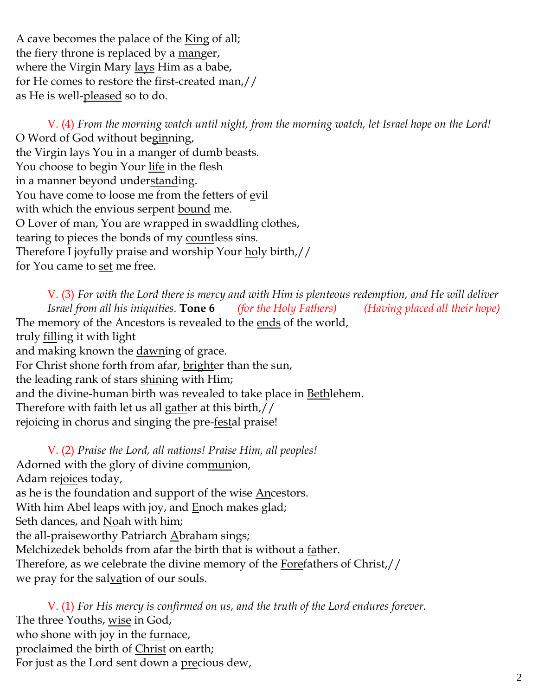A cave becomes the palace of the King of all; the fiery throne is replaced by a manger, where the Virgin Mary lays Him as a babe, for He comes to restore the first-created man,// as He is well-<u>pleased</u> so to do.

V. (4) *From the morning watch until night, from the morning watch, let Israel hope on the Lord!*  O Word of God without beginning, the Virgin lays You in a manger of dumb beasts. You choose to begin Your life in the flesh in a manner beyond understanding. You have come to loose me from the fetters of evil with which the envious serpent bound me. O Lover of man, You are wrapped in swaddling clothes, tearing to pieces the bonds of my countless sins. Therefore I joyfully praise and worship Your holy birth,// for You came to set me free.

V. (3) *For with the Lord there is mercy and with Him is plenteous redemption, and He will deliver Israel from all his iniquities.* **Tone 6** *(for the Holy Fathers) (Having placed all their hope)* The memory of the Ancestors is revealed to the ends of the world, truly filling it with light and making known the dawning of grace. For Christ shone forth from afar, brighter than the sun, the leading rank of stars shining with Him; and the divine-human birth was revealed to take place in Bethlehem. Therefore with faith let us all gather at this birth,// rejoicing in chorus and singing the pre-festal praise!

V. (2) *Praise the Lord, all nations! Praise Him, all peoples!* Adorned with the glory of divine communion, Adam rejoices today, as he is the foundation and support of the wise Ancestors. With him Abel leaps with joy, and Enoch makes glad; Seth dances, and Noah with him; the all-praiseworthy Patriarch Abraham sings; Melchizedek beholds from afar the birth that is without a father. Therefore, as we celebrate the divine memory of the Forefathers of Christ,// we pray for the salvation of our souls.

V. (1) *For His mercy is confirmed on us, and the truth of the Lord endures forever.*  The three Youths, wise in God, who shone with joy in the furnace, proclaimed the birth of Christ on earth; For just as the Lord sent down a precious dew,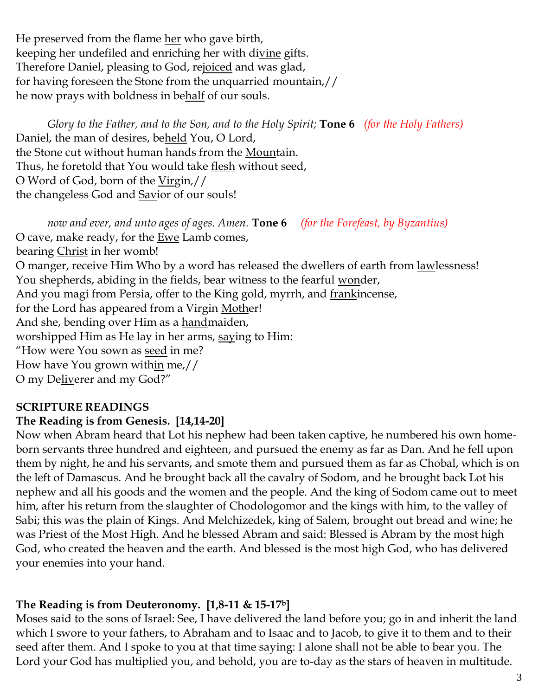He preserved from the flame her who gave birth, keeping her undefiled and enriching her with divine gifts. Therefore Daniel, pleasing to God, rejoiced and was glad, for having foreseen the Stone from the unquarried mountain,// he now prays with boldness in behalf of our souls.

*Glory to the Father, and to the Son, and to the Holy Spirit;* **Tone 6** *(for the Holy Fathers)* Daniel, the man of desires, beheld You, O Lord, the Stone cut without human hands from the Mountain. Thus, he foretold that You would take <u>flesh</u> without seed, O Word of God, born of the Virgin,// the changeless God and **Savior** of our souls!

*now and ever, and unto ages of ages. Amen.* **Tone 6** *(for the Forefeast, by Byzantius)* O cave, make ready, for the  $Ewe$  Lamb comes,</u> bearing *Christ* in her womb! O manger, receive Him Who by a word has released the dwellers of earth from lawlessness! You shepherds, abiding in the fields, bear witness to the fearful wonder, And you magi from Persia, offer to the King gold, myrrh, and frankincense, for the Lord has appeared from a Virgin Mother! And she, bending over Him as a handmaiden, worshipped Him as He lay in her arms, saying to Him: "How were You sown as seed in me? How have You grown within me,// O my Deliverer and my God?"

## **SCRIPTURE READINGS**

## **The Reading is from Genesis. [14,14-20]**

Now when Abram heard that Lot his nephew had been taken captive, he numbered his own homeborn servants three hundred and eighteen, and pursued the enemy as far as Dan. And he fell upon them by night, he and his servants, and smote them and pursued them as far as Chobal, which is on the left of Damascus. And he brought back all the cavalry of Sodom, and he brought back Lot his nephew and all his goods and the women and the people. And the king of Sodom came out to meet him, after his return from the slaughter of Chodologomor and the kings with him, to the valley of Sabi; this was the plain of Kings. And Melchizedek, king of Salem, brought out bread and wine; he was Priest of the Most High. And he blessed Abram and said: Blessed is Abram by the most high God, who created the heaven and the earth. And blessed is the most high God, who has delivered your enemies into your hand.

## **The Reading is from Deuteronomy. [1,8-11 & 15-17b]**

Moses said to the sons of Israel: See, I have delivered the land before you; go in and inherit the land which I swore to your fathers, to Abraham and to Isaac and to Jacob, to give it to them and to their seed after them. And I spoke to you at that time saying: I alone shall not be able to bear you. The Lord your God has multiplied you, and behold, you are to-day as the stars of heaven in multitude.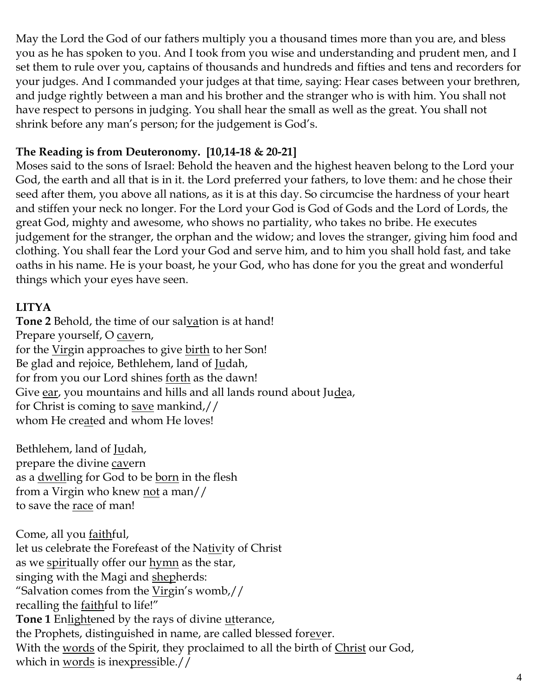May the Lord the God of our fathers multiply you a thousand times more than you are, and bless you as he has spoken to you. And I took from you wise and understanding and prudent men, and I set them to rule over you, captains of thousands and hundreds and fifties and tens and recorders for your judges. And I commanded your judges at that time, saying: Hear cases between your brethren, and judge rightly between a man and his brother and the stranger who is with him. You shall not have respect to persons in judging. You shall hear the small as well as the great. You shall not shrink before any man's person; for the judgement is God's.

## **The Reading is from Deuteronomy. [10,14-18 & 20-21]**

Moses said to the sons of Israel: Behold the heaven and the highest heaven belong to the Lord your God, the earth and all that is in it. the Lord preferred your fathers, to love them: and he chose their seed after them, you above all nations, as it is at this day. So circumcise the hardness of your heart and stiffen your neck no longer. For the Lord your God is God of Gods and the Lord of Lords, the great God, mighty and awesome, who shows no partiality, who takes no bribe. He executes judgement for the stranger, the orphan and the widow; and loves the stranger, giving him food and clothing. You shall fear the Lord your God and serve him, and to him you shall hold fast, and take oaths in his name. He is your boast, he your God, who has done for you the great and wonderful things which your eyes have seen.

## **LITYA**

Tone 2 Behold, the time of our salvation is at hand! Prepare yourself, O cavern, for the Virgin approaches to give birth to her Son! Be glad and rejoice, Bethlehem, land of Judah, for from you our Lord shines forth as the dawn! Give ear, you mountains and hills and all lands round about Judea, for Christ is coming to save mankind,// whom He created and whom He loves!

Bethlehem, land of Judah, prepare the divine cavern as a <u>dwell</u>ing for God to be <u>born</u> in the flesh from a Virgin who knew not a man// to save the race of man!

Come, all you faithful, let us celebrate the Forefeast of the Nativity of Christ as we spiritually offer our hymn as the star, singing with the Magi and shepherds: "Salvation comes from the Virgin's womb,// recalling the faithful to life!" **Tone 1** Enlightened by the rays of divine utterance, the Prophets, distinguished in name, are called blessed forever. With the words of the Spirit, they proclaimed to all the birth of Christ our God, which in words is inexpressible.//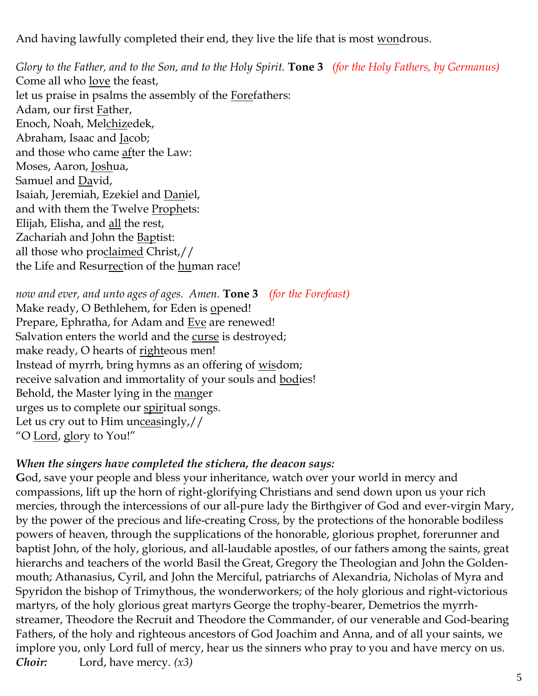And having lawfully completed their end, they live the life that is most wondrous.

*Glory to the Father, and to the Son, and to the Holy Spirit.* **Tone 3** *(for the Holy Fathers, by Germanus)* Come all who love the feast, let us praise in psalms the assembly of the Forefathers: Adam, our first Father, Enoch, Noah, Melchizedek, Abraham, Isaac and Jacob; and those who came after the Law: Moses, Aaron, Joshua, Samuel and David, Isaiah, Jeremiah, Ezekiel and Daniel, and with them the Twelve Prophets: Elijah, Elisha, and all the rest, Zachariah and John the Baptist: all those who proclaimed Christ,// the Life and Resurrection of the human race!

*now and ever, and unto ages of ages. Amen.* **Tone 3** *(for the Forefeast)* Make ready, O Bethlehem, for Eden is opened! Prepare, Ephratha, for Adam and Eve are renewed! Salvation enters the world and the curse is destroyed; make ready, O hearts of righteous men! Instead of myrrh, bring hymns as an offering of wisdom; receive salvation and immortality of your souls and **bodies!** Behold, the Master lying in the manger urges us to complete our spiritual songs. Let us cry out to Him unceasingly,// "O Lord, glory to You!"

### *When the singers have completed the stichera, the deacon says:*

**G**od, save your people and bless your inheritance, watch over your world in mercy and compassions, lift up the horn of right-glorifying Christians and send down upon us your rich mercies, through the intercessions of our all-pure lady the Birthgiver of God and ever-virgin Mary, by the power of the precious and life-creating Cross, by the protections of the honorable bodiless powers of heaven, through the supplications of the honorable, glorious prophet, forerunner and baptist John, of the holy, glorious, and all-laudable apostles, of our fathers among the saints, great hierarchs and teachers of the world Basil the Great, Gregory the Theologian and John the Goldenmouth; Athanasius, Cyril, and John the Merciful, patriarchs of Alexandria, Nicholas of Myra and Spyridon the bishop of Trimythous, the wonderworkers; of the holy glorious and right-victorious martyrs, of the holy glorious great martyrs George the trophy-bearer, Demetrios the myrrhstreamer, Theodore the Recruit and Theodore the Commander, of our venerable and God-bearing Fathers, of the holy and righteous ancestors of God Joachim and Anna, and of all your saints, we implore you, only Lord full of mercy, hear us the sinners who pray to you and have mercy on us. *Choir:* Lord, have mercy. *(x3)*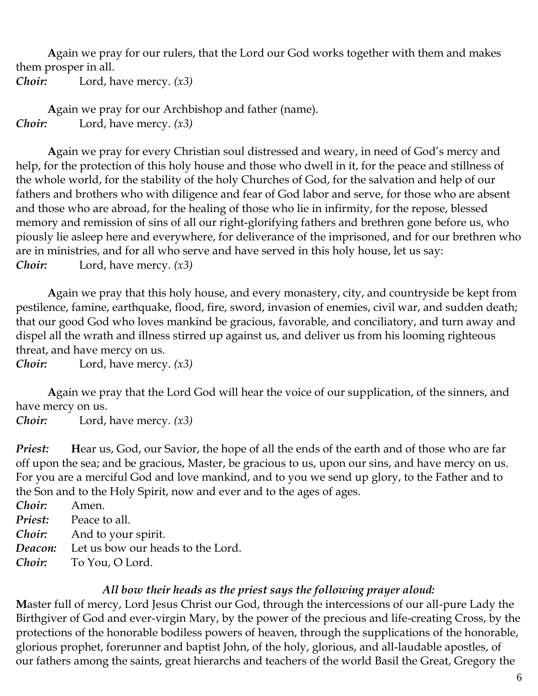**A**gain we pray for our rulers, that the Lord our God works together with them and makes them prosper in all. *Choir:* Lord, have mercy. *(x3)*

**A**gain we pray for our Archbishop and father (name). *Choir:* Lord, have mercy. *(x3)*

**A**gain we pray for every Christian soul distressed and weary, in need of God's mercy and help, for the protection of this holy house and those who dwell in it, for the peace and stillness of the whole world, for the stability of the holy Churches of God, for the salvation and help of our fathers and brothers who with diligence and fear of God labor and serve, for those who are absent and those who are abroad, for the healing of those who lie in infirmity, for the repose, blessed memory and remission of sins of all our right-glorifying fathers and brethren gone before us, who piously lie asleep here and everywhere, for deliverance of the imprisoned, and for our brethren who are in ministries, and for all who serve and have served in this holy house, let us say: *Choir:* Lord, have mercy. *(x3)*

**A**gain we pray that this holy house, and every monastery, city, and countryside be kept from pestilence, famine, earthquake, flood, fire, sword, invasion of enemies, civil war, and sudden death; that our good God who loves mankind be gracious, favorable, and conciliatory, and turn away and dispel all the wrath and illness stirred up against us, and deliver us from his looming righteous threat, and have mercy on us.

*Choir:* Lord, have mercy. *(x3)*

**A**gain we pray that the Lord God will hear the voice of our supplication, of the sinners, and have mercy on us.

*Choir:* Lord, have mercy. *(x3)*

*Priest:* **H**ear us, God, our Savior, the hope of all the ends of the earth and of those who are far off upon the sea; and be gracious, Master, be gracious to us, upon our sins, and have mercy on us. For you are a merciful God and love mankind, and to you we send up glory, to the Father and to the Son and to the Holy Spirit, now and ever and to the ages of ages.

*Choir:* Amen. *Priest:* Peace to all. *Choir:* And to your spirit. *Deacon:* Let us bow our heads to the Lord. *Choir:* To You, O Lord.

#### *All bow their heads as the priest says the following prayer aloud:*

**M**aster full of mercy, Lord Jesus Christ our God, through the intercessions of our all-pure Lady the Birthgiver of God and ever-virgin Mary, by the power of the precious and life-creating Cross, by the protections of the honorable bodiless powers of heaven, through the supplications of the honorable, glorious prophet, forerunner and baptist John, of the holy, glorious, and all-laudable apostles, of our fathers among the saints, great hierarchs and teachers of the world Basil the Great, Gregory the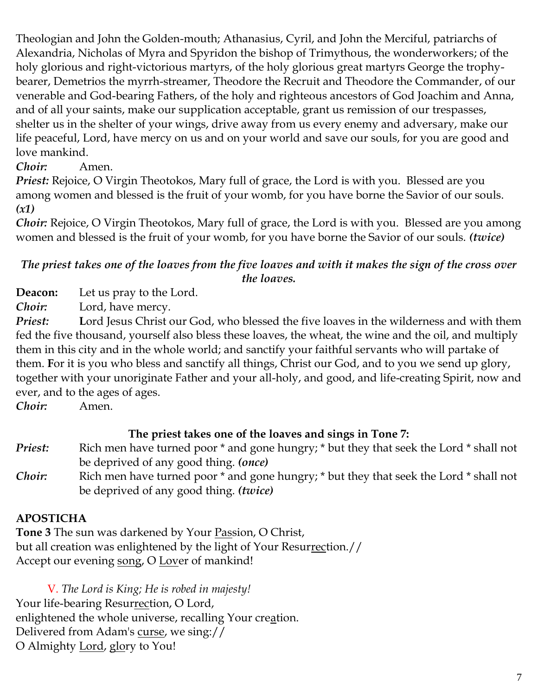Theologian and John the Golden-mouth; Athanasius, Cyril, and John the Merciful, patriarchs of Alexandria, Nicholas of Myra and Spyridon the bishop of Trimythous, the wonderworkers; of the holy glorious and right-victorious martyrs, of the holy glorious great martyrs George the trophybearer, Demetrios the myrrh-streamer, Theodore the Recruit and Theodore the Commander, of our venerable and God-bearing Fathers, of the holy and righteous ancestors of God Joachim and Anna, and of all your saints, make our supplication acceptable, grant us remission of our trespasses, shelter us in the shelter of your wings, drive away from us every enemy and adversary, make our life peaceful, Lord, have mercy on us and on your world and save our souls, for you are good and love mankind.

# *Choir:* Amen.

*Priest:* Rejoice, O Virgin Theotokos, Mary full of grace, the Lord is with you. Blessed are you among women and blessed is the fruit of your womb, for you have borne the Savior of our souls. *(x1)*

*Choir:* Rejoice, O Virgin Theotokos, Mary full of grace, the Lord is with you. Blessed are you among women and blessed is the fruit of your womb, for you have borne the Savior of our souls. *(twice)*

### *The priest takes one of the loaves from the five loaves and with it makes the sign of the cross over the loaves.*

**Deacon:** Let us pray to the Lord.

*Choir:* Lord, have mercy.

**Priest:** Lord Jesus Christ our God, who blessed the five loaves in the wilderness and with them fed the five thousand, yourself also bless these loaves, the wheat, the wine and the oil, and multiply them in this city and in the whole world; and sanctify your faithful servants who will partake of them. **F**or it is you who bless and sanctify all things, Christ our God, and to you we send up glory, together with your unoriginate Father and your all-holy, and good, and life-creating Spirit, now and ever, and to the ages of ages.

*Choir:* Amen.

## **The priest takes one of the loaves and sings in Tone 7:**

- *Priest:* Rich men have turned poor  $*$  and gone hungry;  $*$  but they that seek the Lord  $*$  shall not be deprived of any good thing. *(once)*
- *Choir:* Rich men have turned poor \* and gone hungry; \* but they that seek the Lord \* shall not be deprived of any good thing. *(twice)*

# **APOSTICHA**

**Tone 3** The sun was darkened by Your Passion, O Christ, but all creation was enlightened by the light of Your Resurrection.// Accept our evening song, O Lover of mankind!

V. *The Lord is King; He is robed in majesty!*  Your life-bearing Resurrection, O Lord, enlightened the whole universe, recalling Your creation. Delivered from Adam's curse, we sing:// O Almighty **Lord**, glory to You!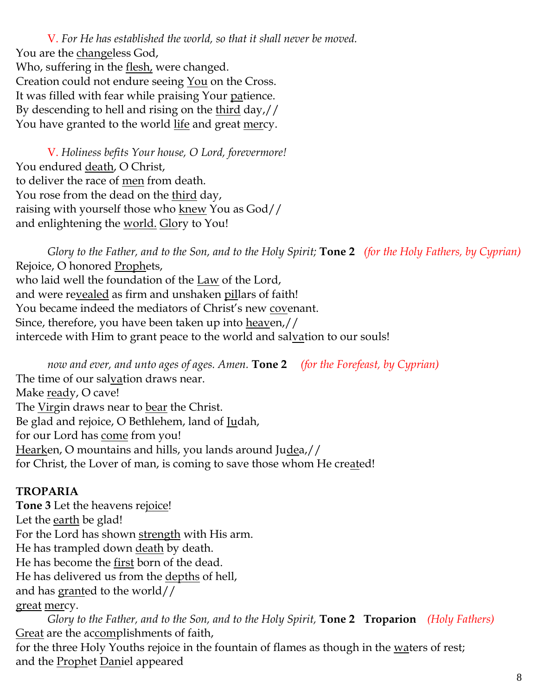V. *For He has established the world, so that it shall never be moved.* You are the changeless God, Who, suffering in the flesh, were changed. Creation could not endure seeing You on the Cross. It was filled with fear while praising Your patience. By descending to hell and rising on the third day,// You have granted to the world life and great mercy.

V. *Holiness befits Your house, O Lord, forevermore!*  You endured death, O Christ, to deliver the race of men from death. You rose from the dead on the third day, raising with yourself those who knew You as God// and enlightening the world. Glory to You!

*Glory to the Father, and to the Son, and to the Holy Spirit;* **Tone 2** *(for the Holy Fathers, by Cyprian)*  Rejoice, O honored Prophets, who laid well the foundation of the Law of the Lord, and were revealed as firm and unshaken pillars of faith! You became indeed the mediators of Christ's new covenant. Since, therefore, you have been taken up into heaven,// intercede with Him to grant peace to the world and salvation to our souls!

*now and ever, and unto ages of ages. Amen.* **Tone 2** *(for the Forefeast, by Cyprian)* The time of our salvation draws near. Make ready, O cave! The Virgin draws near to bear the Christ. Be glad and rejoice, O Bethlehem, land of Judah, for our Lord has come from you! Hearken, O mountains and hills, you lands around Judea,// for Christ, the Lover of man, is coming to save those whom He created!

## **TROPARIA**

**Tone 3** Let the heavens rejoice! Let the earth be glad! For the Lord has shown strength with His arm. He has trampled down death by death. He has become the first born of the dead. He has delivered us from the depths of hell, and has granted to the world// great mercy.

*Glory to the Father, and to the Son, and to the Holy Spirit,* **Tone 2 Troparion** *(Holy Fathers)* Great are the accomplishments of faith, for the three Holy Youths rejoice in the fountain of flames as though in the waters of rest; and the Prophet Daniel appeared